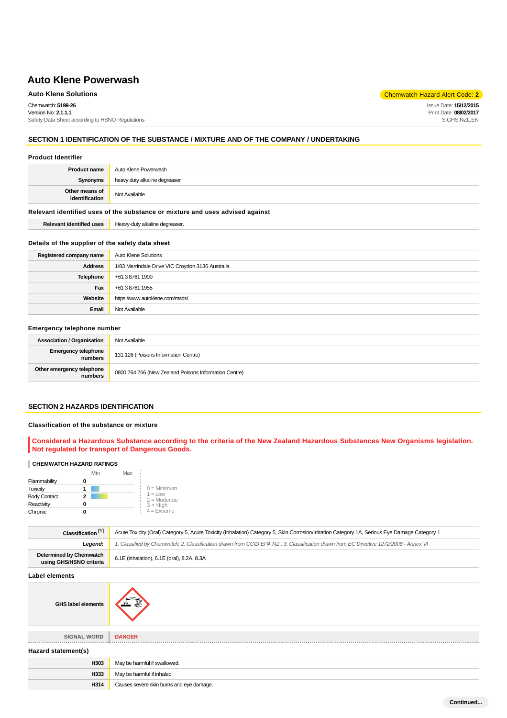# **Auto Klene Solutions** Chemwatch Hazard Alert Code: **2**

Chemwatch: **5199-26** Version No: **2.1.1.1**

Safety Data Sheet according to HSNO Regulations

# **SECTION 1 IDENTIFICATION OF THE SUBSTANCE / MIXTURE AND OF THE COMPANY / UNDERTAKING**

#### **Product Identifier**

| <b>Product name</b>              | Auto Klene Powerwash          |
|----------------------------------|-------------------------------|
| Synonyms                         | heavy duty alkaline degreaser |
| Other means of<br>identification | Not Available                 |

# **Relevant identified uses of the substance or mixture and uses advised against**

**Relevant identified uses** Heavy-duty alkaline degreaser.

# **Details of the supplier of the safety data sheet**

| Registered company name | Auto Klene Solutions                             |
|-------------------------|--------------------------------------------------|
| <b>Address</b>          | 1/83 Merrindale Drive VIC Croydon 3136 Australia |
| Telephone               | +61 3 8761 1900                                  |
| Fax                     | +61 3 8761 1955                                  |
| Website                 | https://www.autoklene.com/msds/                  |
| Email                   | Not Available                                    |

# **Emergency telephone number**

| <b>Association / Organisation</b>     | Not Available                                         |
|---------------------------------------|-------------------------------------------------------|
| <b>Emergency telephone</b><br>numbers | 131 126 (Poisons Information Centre)                  |
| Other emergency telephone<br>numbers  | 0800 764 766 (New Zealand Poisons Information Centre) |

# **SECTION 2 HAZARDS IDENTIFICATION**

# **Classification of the substance or mixture**

**Considered a Hazardous Substance according to the criteria of the New Zealand Hazardous Substances New Organisms legislation. Not regulated for transport of Dangerous Goods.**

# **CHEMWATCH HAZARD RATINGS**

|                     | Min | Max |                             |
|---------------------|-----|-----|-----------------------------|
| Flammability        |     |     |                             |
| <b>Toxicity</b>     |     |     | $0 =$ Minimum               |
| <b>Body Contact</b> | 2   |     | $1 =$ Low<br>$2 =$ Moderate |
| Reactivity          |     |     | $3 = High$                  |
| Chronic             |     |     | $4 = Ex$ freme              |

| Classification <sup>[1]</sup>                      | Acute Toxicity (Oral) Category 5, Acute Toxicity (Inhalation) Category 5, Skin Corrosion/Irritation Category 1A, Serious Eye Damage Category 1 |
|----------------------------------------------------|------------------------------------------------------------------------------------------------------------------------------------------------|
| Leaend:                                            | 1. Classified by Chemwatch; 2. Classification drawn from CCID EPA NZ; 3. Classification drawn from EC Directive 1272/2008 - Annex VI           |
| Determined by Chemwatch<br>using GHS/HSNO criteria | 6.1E (inhalation), 6.1E (oral), 8.2A, 8.3A                                                                                                     |

### **Label elements**

| <b>GHS label elements</b> | ๕                                        |
|---------------------------|------------------------------------------|
| <b>SIGNAL WORD</b>        | <b>DANGER</b>                            |
| Hazard statement(s)       |                                          |
| H303                      | May be harmful if swallowed.             |
| H333                      | May be harmful if inhaled                |
| H314                      | Causes severe skin burns and eye damage. |

Issue Date: **15/12/2015** Print Date: **08/02/2017** S.GHS.NZL.EN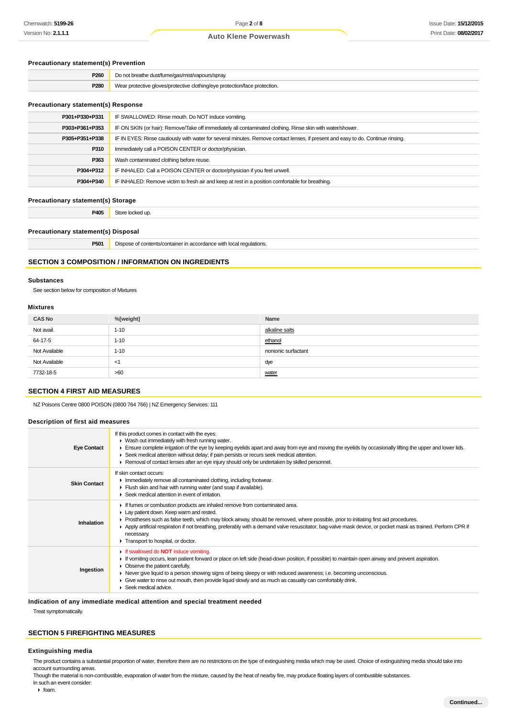# **Precautionary statement(s) Prevention**

| P <sub>260</sub> | Do not breathe dust/fume/gas/mist/vapours/spray.                           |
|------------------|----------------------------------------------------------------------------|
| P280             | Wear protective gloves/protective clothing/eye protection/face protection. |
|                  |                                                                            |

# **Precautionary statement(s) Response**

| P301+P330+P331 | IF SWALLOWED: Rinse mouth. Do NOT induce vomiting.                                                                               |  |
|----------------|----------------------------------------------------------------------------------------------------------------------------------|--|
| P303+P361+P353 | IF ON SKIN (or hair): Remove/Take off immediately all contaminated clothing. Rinse skin with water/shower.                       |  |
| P305+P351+P338 | IF IN EYES: Rinse cautiously with water for several minutes. Remove contact lenses, if present and easy to do. Continue rinsing. |  |
| P310           | Immediately call a POISON CENTER or doctor/physician.                                                                            |  |
| P363           | Wash contaminated clothing before reuse.                                                                                         |  |
| P304+P312      | IF INHALED: Call a POISON CENTER or doctor/physician if you feel unwell.                                                         |  |
| P304+P340      | IF INHALED: Remove victim to fresh air and keep at rest in a position comfortable for breathing.                                 |  |
|                |                                                                                                                                  |  |

# **Precautionary statement(s) Storage**

**P405** Store locked up.

# **Precautionary statement(s) Disposal**

| пгл.<br>◡<br>_____ | -<br>requiations.<br>™e with ita.<br>montaln.<br>,,,,,,,,,,,,,,,,<br>.<br>.<br>. |
|--------------------|----------------------------------------------------------------------------------|
|                    |                                                                                  |

# **SECTION 3 COMPOSITION / INFORMATION ON INGREDIENTS**

#### **Substances**

See section below for composition of Mixtures

#### **Mixtures**

| <b>CAS No</b> | %[weight] | Name                |
|---------------|-----------|---------------------|
| Not avail.    | $1 - 10$  | alkaline salts      |
| 64-17-5       | $1 - 10$  | ethanol             |
| Not Available | $1 - 10$  | nonionic surfactant |
| Not Available | -≺1       | dye                 |
| 7732-18-5     | >60       | water               |

# **SECTION 4 FIRST AID MEASURES**

NZ Poisons Centre 0800 POISON (0800 764 766) | NZ Emergency Services: 111

#### **Description of first aid measures**

| <b>Eye Contact</b>  | If this product comes in contact with the eyes:<br>• Wash out immediately with fresh running water.<br>Ensure complete irrigation of the eye by keeping eyelids apart and away from eye and moving the eyelids by occasionally lifting the upper and lower lids.<br>► Seek medical attention without delay; if pain persists or recurs seek medical attention.<br>► Removal of contact lenses after an eye injury should only be undertaken by skilled personnel.                              |
|---------------------|------------------------------------------------------------------------------------------------------------------------------------------------------------------------------------------------------------------------------------------------------------------------------------------------------------------------------------------------------------------------------------------------------------------------------------------------------------------------------------------------|
| <b>Skin Contact</b> | If skin contact occurs:<br>Inmediately remove all contaminated clothing, including footwear.<br>Flush skin and hair with running water (and soap if available).<br>▶ Seek medical attention in event of irritation.                                                                                                                                                                                                                                                                            |
| Inhalation          | If fumes or combustion products are inhaled remove from contaminated area.<br>Lay patient down. Keep warm and rested.<br>► Prostheses such as false teeth, which may block airway, should be removed, where possible, prior to initiating first aid procedures.<br>▶ Apply artificial respiration if not breathing, preferably with a demand valve resuscitator, bag-valve mask device, or pocket mask as trained. Perform CPR if<br>necessary.<br>Transport to hospital, or doctor.           |
| Ingestion           | If swallowed do <b>NOT</b> induce vomiting.<br>If vomiting occurs, lean patient forward or place on left side (head-down position, if possible) to maintain open airway and prevent aspiration.<br>• Observe the patient carefully.<br>► Never give liquid to a person showing signs of being sleepy or with reduced awareness; i.e. becoming unconscious.<br>Give water to rinse out mouth, then provide liquid slowly and as much as casualty can comfortably drink.<br>Seek medical advice. |

# **Indication of any immediate medical attention and special treatment needed**

Treat symptomatically.

# **SECTION 5 FIREFIGHTING MEASURES**

# **Extinguishing media**

The product contains a substantial proportion of water, therefore there are no restrictions on the type of extinguishing media which may be used. Choice of extinguishing media should take into account surrounding areas.

Though the material is non-combustible, evaporation of water from the mixture, caused by the heat of nearby fire, may produce floating layers of combustible substances. In such an event consider:

 $\triangleright$  foam.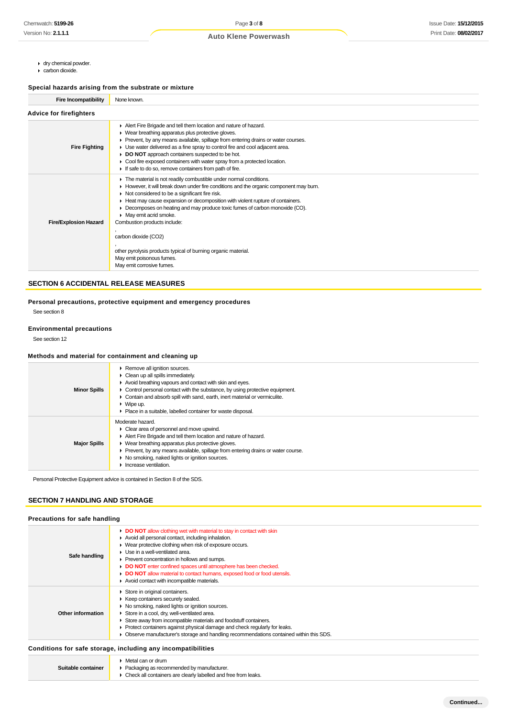- dry chemical powder.
- carbon dioxide.

# **Special hazards arising from the substrate or mixture**

| <b>Fire Incompatibility</b>    | None known.                                                                                                                                                                                                                                                                                                                                                                                                                                                                                                                                                                                                      |  |
|--------------------------------|------------------------------------------------------------------------------------------------------------------------------------------------------------------------------------------------------------------------------------------------------------------------------------------------------------------------------------------------------------------------------------------------------------------------------------------------------------------------------------------------------------------------------------------------------------------------------------------------------------------|--|
| <b>Advice for firefighters</b> |                                                                                                                                                                                                                                                                                                                                                                                                                                                                                                                                                                                                                  |  |
| <b>Fire Fighting</b>           | Alert Fire Brigade and tell them location and nature of hazard.<br>▶ Wear breathing apparatus plus protective gloves.<br>► Prevent, by any means available, spillage from entering drains or water courses.<br>• Use water delivered as a fine spray to control fire and cool adjacent area.<br>DO NOT approach containers suspected to be hot.<br>• Cool fire exposed containers with water spray from a protected location.<br>If safe to do so, remove containers from path of fire.                                                                                                                          |  |
| <b>Fire/Explosion Hazard</b>   | The material is not readily combustible under normal conditions.<br>► However, it will break down under fire conditions and the organic component may burn.<br>$\triangleright$ Not considered to be a significant fire risk.<br>Heat may cause expansion or decomposition with violent rupture of containers.<br>Decomposes on heating and may produce toxic fumes of carbon monoxide (CO).<br>Þ.<br>• May emit acrid smoke.<br>Combustion products include:<br>carbon dioxide (CO2)<br>other pyrolysis products typical of burning organic material.<br>May emit poisonous fumes.<br>May emit corrosive fumes. |  |

# **SECTION 6 ACCIDENTAL RELEASE MEASURES**

**Personal precautions, protective equipment and emergency procedures** See section 8

# **Environmental precautions**

See section 12

# **Methods and material for containment and cleaning up**

| <b>Minor Spills</b> | ▶ Remove all ignition sources.<br>$\triangleright$ Clean up all spills immediately.<br>Avoid breathing vapours and contact with skin and eyes.<br>$\triangleright$ Control personal contact with the substance, by using protective equipment.<br>• Contain and absorb spill with sand, earth, inert material or vermiculite.<br>$\blacktriangleright$ Wipe up.<br>• Place in a suitable, labelled container for waste disposal. |
|---------------------|----------------------------------------------------------------------------------------------------------------------------------------------------------------------------------------------------------------------------------------------------------------------------------------------------------------------------------------------------------------------------------------------------------------------------------|
| <b>Major Spills</b> | Moderate hazard.<br>$\triangleright$ Clear area of personnel and move upwind.<br>Alert Fire Brigade and tell them location and nature of hazard.<br>▶ Wear breathing apparatus plus protective gloves.<br>• Prevent, by any means available, spillage from entering drains or water course.<br>• No smoking, naked lights or ignition sources.<br>Increase ventilation.                                                          |

Personal Protective Equipment advice is contained in Section 8 of the SDS.

# **SECTION 7 HANDLING AND STORAGE**

# **Precautions for safe handling**

| Safe handling     | <b>DO NOT</b> allow clothing wet with material to stay in contact with skin<br>Avoid all personal contact, including inhalation.<br>• Wear protective clothing when risk of exposure occurs.<br>$\blacktriangleright$ Use in a well-ventilated area.<br>▶ Prevent concentration in hollows and sumps.<br>DO NOT enter confined spaces until atmosphere has been checked.<br>• DO NOT allow material to contact humans, exposed food or food utensils.<br>Avoid contact with incompatible materials. |
|-------------------|-----------------------------------------------------------------------------------------------------------------------------------------------------------------------------------------------------------------------------------------------------------------------------------------------------------------------------------------------------------------------------------------------------------------------------------------------------------------------------------------------------|
| Other information | Store in original containers.<br>▶ Keep containers securely sealed.<br>▶ No smoking, naked lights or ignition sources.<br>Store in a cool, dry, well-ventilated area.<br>Store away from incompatible materials and foodstuff containers.<br>▶ Protect containers against physical damage and check regularly for leaks.<br>• Observe manufacturer's storage and handling recommendations contained within this SDS.                                                                                |

# **Conditions for safe storage, including any incompatibilities**

| Suitable container | Metal can or drum<br>▶ Packaging as recommended by manufacturer.<br>Check all containers are clearly labelled and free from leaks. |
|--------------------|------------------------------------------------------------------------------------------------------------------------------------|
|--------------------|------------------------------------------------------------------------------------------------------------------------------------|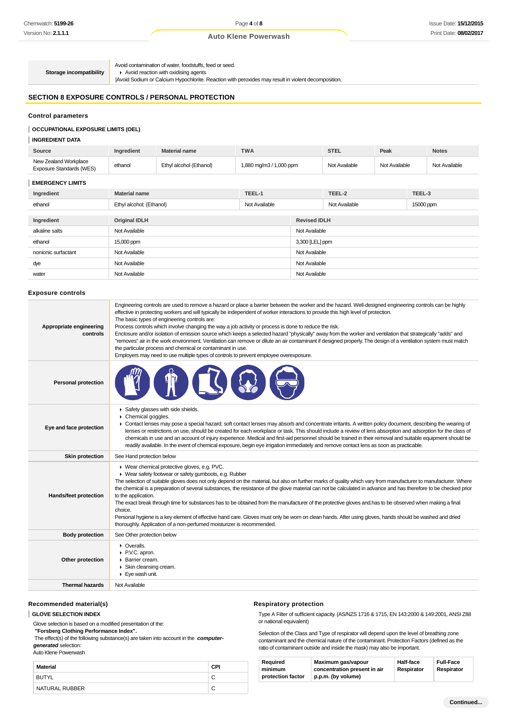**Storage incompatibility**

Avoid contamination of water, foodstuffs, feed or seed. Avoid reaction with oxidising agents

|Avoid Sodium or Calcium Hypochlorite. Reaction with peroxides may result in violent decomposition.

# **SECTION 8 EXPOSURE CONTROLS / PERSONAL PROTECTION**

#### **Control parameters**

### **OCCUPATIONAL EXPOSURE LIMITS (OEL)**

# **INGREDIENT DATA**

| Source                                            | Ingredient               | <b>Material name</b>    | <b>TWA</b>              |                 | <b>STEL</b>         | Peak          |           | <b>Notes</b>  |
|---------------------------------------------------|--------------------------|-------------------------|-------------------------|-----------------|---------------------|---------------|-----------|---------------|
| New Zealand Workplace<br>Exposure Standards (WES) | ethanol                  | Ethyl alcohol (Ethanol) | 1,880 mg/m3 / 1,000 ppm |                 | Not Available       | Not Available |           | Not Available |
| <b>EMERGENCY LIMITS</b>                           |                          |                         |                         |                 |                     |               |           |               |
| Ingredient                                        | <b>Material name</b>     |                         | TEEL-1                  |                 | TEEL-2              |               | TEEL-3    |               |
| ethanol                                           | Ethyl alcohol; (Ethanol) |                         | Not Available           |                 | Not Available       |               | 15000 ppm |               |
|                                                   |                          |                         |                         |                 |                     |               |           |               |
| Ingredient                                        | <b>Original IDLH</b>     |                         |                         |                 | <b>Revised IDLH</b> |               |           |               |
| alkaline salts                                    | Not Available            |                         |                         | Not Available   |                     |               |           |               |
| ethanol                                           | 15,000 ppm               |                         |                         | 3,300 [LEL] ppm |                     |               |           |               |
| nonionic surfactant                               | Not Available            |                         |                         | Not Available   |                     |               |           |               |
| dye                                               | Not Available            |                         |                         | Not Available   |                     |               |           |               |
| water                                             | Not Available            |                         |                         | Not Available   |                     |               |           |               |
|                                                   |                          |                         |                         |                 |                     |               |           |               |

# **Exposure controls**

| Appropriate engineering<br>controls | Engineering controls are used to remove a hazard or place a barrier between the worker and the hazard. Well-designed engineering controls can be highly<br>effective in protecting workers and will typically be independent of worker interactions to provide this high level of protection.<br>The basic types of engineering controls are:<br>Process controls which involve changing the way a job activity or process is done to reduce the risk.<br>Enclosure and/or isolation of emission source which keeps a selected hazard "physically" away from the worker and ventilation that strategically "adds" and<br>"removes" air in the work environment. Ventilation can remove or dilute an air contaminant if designed properly. The design of a ventilation system must match<br>the particular process and chemical or contaminant in use.<br>Employers may need to use multiple types of controls to prevent employee overexposure. |
|-------------------------------------|-------------------------------------------------------------------------------------------------------------------------------------------------------------------------------------------------------------------------------------------------------------------------------------------------------------------------------------------------------------------------------------------------------------------------------------------------------------------------------------------------------------------------------------------------------------------------------------------------------------------------------------------------------------------------------------------------------------------------------------------------------------------------------------------------------------------------------------------------------------------------------------------------------------------------------------------------|
| <b>Personal protection</b>          |                                                                                                                                                                                                                                                                                                                                                                                                                                                                                                                                                                                                                                                                                                                                                                                                                                                                                                                                                 |
| Eye and face protection             | Safety glasses with side shields.<br>Chemical goggles.<br>• Contact lenses may pose a special hazard; soft contact lenses may absorb and concentrate irritants. A written policy document, describing the wearing of<br>lenses or restrictions on use, should be created for each workplace or task. This should include a review of lens absorption and adsorption for the class of<br>chemicals in use and an account of injury experience. Medical and first-aid personnel should be trained in their removal and suitable equipment should be<br>readily available. In the event of chemical exposure, begin eye irrigation immediately and remove contact lens as soon as practicable.                                                                                                                                                                                                                                                     |
| <b>Skin protection</b>              | See Hand protection below                                                                                                                                                                                                                                                                                                                                                                                                                                                                                                                                                                                                                                                                                                                                                                                                                                                                                                                       |
| Hands/feet protection               | ▶ Wear chemical protective gloves, e.g. PVC.<br>• Wear safety footwear or safety gumboots, e.g. Rubber<br>The selection of suitable gloves does not only depend on the material, but also on further marks of quality which vary from manufacturer to manufacturer. Where<br>the chemical is a preparation of several substances, the resistance of the glove material can not be calculated in advance and has therefore to be checked prior<br>to the application.<br>The exact break through time for substances has to be obtained from the manufacturer of the protective gloves and has to be observed when making a final<br>choice.<br>Personal hygiene is a key element of effective hand care. Gloves must only be worn on clean hands. After using gloves, hands should be washed and dried<br>thoroughly. Application of a non-perfumed moisturizer is recommended.                                                                 |
| <b>Body protection</b>              | See Other protection below                                                                                                                                                                                                                                                                                                                                                                                                                                                                                                                                                                                                                                                                                                                                                                                                                                                                                                                      |
| Other protection                    | • Overalls.<br>P.V.C. apron.<br>▶ Barrier cream.<br>Skin cleansing cream.<br>Eye wash unit.                                                                                                                                                                                                                                                                                                                                                                                                                                                                                                                                                                                                                                                                                                                                                                                                                                                     |
| <b>Thermal hazards</b>              | Not Available                                                                                                                                                                                                                                                                                                                                                                                                                                                                                                                                                                                                                                                                                                                                                                                                                                                                                                                                   |
|                                     |                                                                                                                                                                                                                                                                                                                                                                                                                                                                                                                                                                                                                                                                                                                                                                                                                                                                                                                                                 |

# **Recommended material(s)**

#### **GLOVE SELECTION INDEX**

Glove selection is based on a modified presentation of the:

 **"Forsberg Clothing Performance Index".**

 The effect(s) of the following substance(s) are taken into account in the **computergenerated** selection:

Auto Klene Powerwash

| Material       | CPI |
|----------------|-----|
| <b>BUTYL</b>   |     |
| NATURAL RUBBER |     |

# **Respiratory protection**

Type A Filter of sufficient capacity. (AS/NZS 1716 & 1715, EN 143:2000 & 149:2001, ANSI Z88 or national equivalent)

Selection of the Class and Type of respirator will depend upon the level of breathing zone contaminant and the chemical nature of the contaminant. Protection Factors (defined as the ratio of contaminant outside and inside the mask) may also be important.

| Reauired          | Maximum gas/vapour           | <b>Half-face</b> | <b>Full-Face</b> |
|-------------------|------------------------------|------------------|------------------|
| minimum           | concentration present in air | Respirator       | Respirator       |
| protection factor | p.p.m. (by volume)           |                  |                  |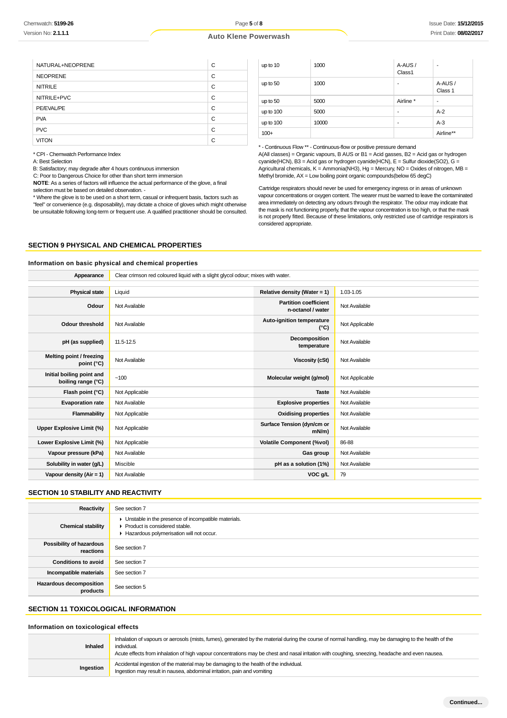|  |  | <b>Auto Klene Powerwash</b> |
|--|--|-----------------------------|
|--|--|-----------------------------|

| NATURAL+NEOPRENE | C |
|------------------|---|
| <b>NEOPRENE</b>  | C |
| <b>NITRILE</b>   | C |
| NITRILE+PVC      | C |
| PE/EVAL/PE       | C |
| <b>PVA</b>       | C |
| <b>PVC</b>       | C |
| <b>VITON</b>     | C |

\* CPI - Chemwatch Performance Index

A: Best Selection

B: Satisfactory; may degrade after 4 hours continuous immersion

C: Poor to Dangerous Choice for other than short term immersion

**NOTE**: As a series of factors will influence the actual performance of the glove, a final selection must be based on detailed observation. -

\* Where the glove is to be used on a short term, casual or infrequent basis, factors such as "feel" or convenience (e.g. disposability), may dictate a choice of gloves which might otherwise be unsuitable following long-term or frequent use. A qualified practitioner should be consulted.

| up to 10    | 1000  | A-AUS/<br>Class1 | $\blacksquare$     |
|-------------|-------|------------------|--------------------|
| up to 50    | 1000  |                  | A-AUS /<br>Class 1 |
| up to 50    | 5000  | Airline *        | ۰                  |
| up to $100$ | 5000  |                  | $A-2$              |
| up to 100   | 10000 |                  | $A-3$              |
| $100+$      |       |                  | Airline**          |

\* - Continuous Flow \*\* - Continuous-flow or positive pressure demand

A(All classes) = Organic vapours, B AUS or B1 = Acid gasses, B2 = Acid gas or hydrogen cyanide(HCN), B3 = Acid gas or hydrogen cyanide(HCN), E = Sulfur dioxide(SO2), G = Agricultural chemicals, K = Ammonia(NH3), Hg = Mercury, NO = Oxides of nitrogen, MB = Methyl bromide, AX = Low boiling point organic compounds(below 65 degC)

Cartridge respirators should never be used for emergency ingress or in areas of unknown vapour concentrations or oxygen content. The wearer must be warned to leave the contaminated area immediately on detecting any odours through the respirator. The odour may indicate that the mask is not functioning properly, that the vapour concentration is too high, or that the mask is not properly fitted. Because of these limitations, only restricted use of cartridge respirators is considered appropriate.

# **SECTION 9 PHYSICAL AND CHEMICAL PROPERTIES**

# **Information on basic physical and chemical properties**

| Appearance                                      | Clear crimson red coloured liquid with a slight glycol odour; mixes with water. |                                                   |                |
|-------------------------------------------------|---------------------------------------------------------------------------------|---------------------------------------------------|----------------|
|                                                 |                                                                                 |                                                   |                |
| <b>Physical state</b>                           | Liquid                                                                          | Relative density (Water = 1)                      | 1.03-1.05      |
| Odour                                           | Not Available                                                                   | <b>Partition coefficient</b><br>n-octanol / water | Not Available  |
| <b>Odour threshold</b>                          | Not Available                                                                   | Auto-ignition temperature<br>$(^{\circ}C)$        | Not Applicable |
| pH (as supplied)                                | 11.5-12.5                                                                       | Decomposition<br>temperature                      | Not Available  |
| Melting point / freezing<br>point $(^{\circ}C)$ | Not Available                                                                   | <b>Viscosity (cSt)</b>                            | Not Available  |
| Initial boiling point and<br>boiling range (°C) | ~100                                                                            | Molecular weight (g/mol)                          | Not Applicable |
| Flash point (°C)                                | Not Applicable                                                                  | <b>Taste</b>                                      | Not Available  |
| <b>Evaporation rate</b>                         | Not Available                                                                   | <b>Explosive properties</b>                       | Not Available  |
| Flammability                                    | Not Applicable                                                                  | <b>Oxidising properties</b>                       | Not Available  |
| Upper Explosive Limit (%)                       | Not Applicable                                                                  | Surface Tension (dyn/cm or<br>$mN/m$ )            | Not Available  |
| Lower Explosive Limit (%)                       | Not Applicable                                                                  | <b>Volatile Component (%vol)</b>                  | 86-88          |
| Vapour pressure (kPa)                           | Not Available                                                                   | Gas group                                         | Not Available  |
| Solubility in water (g/L)                       | Miscible                                                                        | pH as a solution (1%)                             | Not Available  |
| Vapour density ( $Air = 1$ )                    | Not Available                                                                   | VOC g/L                                           | 79             |

#### **SECTION 10 STABILITY AND REACTIVITY**

| Reactivity                            | See section 7                                                                                                                              |
|---------------------------------------|--------------------------------------------------------------------------------------------------------------------------------------------|
| <b>Chemical stability</b>             | • Unstable in the presence of incompatible materials.<br>▶ Product is considered stable.<br>Hazardous polymerisation will not occur.<br>۰. |
| Possibility of hazardous<br>reactions | See section 7                                                                                                                              |
| <b>Conditions to avoid</b>            | See section 7                                                                                                                              |
| Incompatible materials                | See section 7                                                                                                                              |
| Hazardous decomposition<br>products   | See section 5                                                                                                                              |

# **SECTION 11 TOXICOLOGICAL INFORMATION**

#### **Information on toxicological effects**

| Inhaled   | Inhalation of vapours or aerosols (mists, fumes), generated by the material during the course of normal handling, may be damaging to the health of the<br>individual.<br>Acute effects from inhalation of high vapour concentrations may be chest and nasal irritation with coughing, sneezing, headache and even nausea. |
|-----------|---------------------------------------------------------------------------------------------------------------------------------------------------------------------------------------------------------------------------------------------------------------------------------------------------------------------------|
| Ingestion | Accidental ingestion of the material may be damaging to the health of the individual.<br>Ingestion may result in nausea, abdominal irritation, pain and vomiting                                                                                                                                                          |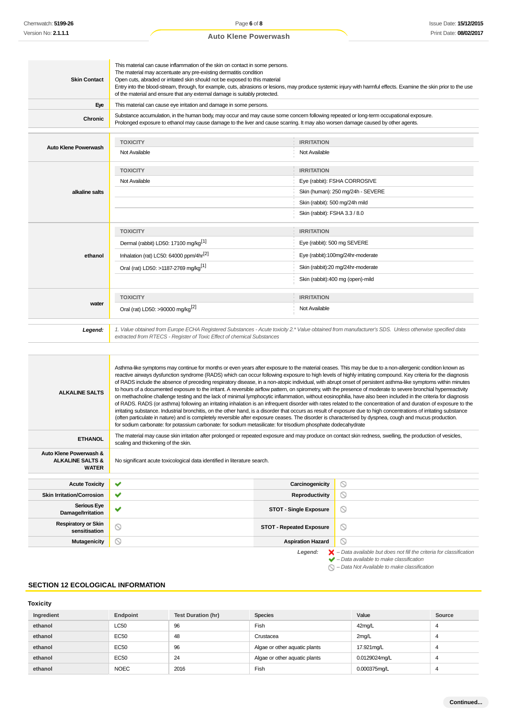# This material can cause inflammation of the skin on contact in some persons. The material may accentuate any pre-existing dermatitis condition **Skin Contact** Open cuts, abraded or irritated skin should not be exposed to this material Entry into the blood-stream, through, for example, cuts, abrasions or lesions, may produce systemic injury with harmful effects. Examine the skin prior to the use of the material and ensure that any external damage is suitably protected. **Eye** This material can cause eye irritation and damage in some persons. **Chronic** Substance accumulation, in the human body, may occur and may cause some concern following repeated or long-term occupational exposure. Prolonged exposure to ethanol may cause damage to the liver and cause scarring. It may also worsen damage caused by other agents. **TOXICITY IRRITATION Auto Klene Powerwash** Not Available Not Available **TOXICITY IRRITATION** Not Available **Eye** (rabbit): FSHA CORROSIVE **alkaline salts** Skin (human): 250 mg/24h - SEVERE Skin (rabbit): 500 mg/24h mild Skin (rabbit): FSHA 3.3 / 8.0 **TOXICITY IRRITATION** Dermal (rabbit) LD50: 17100 mg/kg<sup>[1]</sup> extending the state of the state of the SEVERE Eye (rabbit): 500 mg SEVERE **ethanol** Inhalation (rat) LC50: 64000 ppm/4hr<sup>[2]</sup> Eye (rabbit):100mg/24hr-moderate Oral (rat) LD50: >1187-2769 mg/kg<sup>[1]</sup> Skin (rabbit):20 mg/24hr-moderate Skin (rabbit):400 mg (open)-mild **TOXICITY IRRITATION water** Oral (rat) LD50: >90000 mg/kg<sup>[2]</sup> Not Available **Legend:** 1. Value obtained from Europe ECHA Registered Substances - Acute toxicity 2.\* Value obtained from manufacturer's SDS. Unless otherwise specified data extracted from RTECS - Register of Toxic Effect of chemical Substances Asthma-like symptoms may continue for months or even years after exposure to the material ceases. This may be due to a non-allergenic condition known as reactive airways dysfunction syndrome (RADS) which can occur following exposure to high levels of highly irritating compound. Key criteria for the diagnosis of RADS include the absence of preceding respiratory disease, in a non-atopic individual, with abrupt onset of persistent asthma-like symptoms within minutes to hours of a documented exposure to the irritant. A reversible airflow pattern, on spirometry, with the presence of moderate to severe bronchial hyperreactivity **ALKALINE SALTS** on methacholine challenge testing and the lack of minimal lymphocytic inflammation, without eosinophilia, have also been included in the criteria for diagnosis of RADS. RADS (or asthma) following an irritating inhalation is an infrequent disorder with rates related to the concentration of and duration of exposure to the irritating substance. Industrial bronchitis, on the other hand, is a disorder that occurs as result of exposure due to high concentrations of irritating substance (often particulate in nature) and is completely reversible after exposure ceases. The disorder is characterised by dyspnea, cough and mucus production. for sodium carbonate: for potassium carbonate: for sodium metasilicate: for trisodium phosphate dodecahydrate **ETHANOL** The material may cause skin irritation after prolonged or repeated exposure and may produce on contact skin redness, swelling, the production of vesicles, scaling and thickening of the skin. **Auto Klene Powerwash & ALKALINE SALTS &** No significant acute toxicological data identified in literature search. **WATER**  $\circ$ **Acute Toxicity Carcinogenicity Skin Irritation/Corrosion ● ◆ Productivity** Productivity  $\circ$ **Serious Eye**  $\circ$ **Damage/Irritation Respiratory or Skin station SKIN**<br> **sensitisation**<br> **STOT - Repeated Exposure**  $\circ$ **Mutagenicity Aspiration Hazard**  $\circ$ Legend:  $\mathsf{X}$  – Data available but does not fill the criteria for classification – Data available to make classification

#### – Data Not Available to make classification

 $\varnothing$ 

# **SECTION 12 ECOLOGICAL INFORMATION**

# **Toxicity**

| Ingredient | Endpoint    | <b>Test Duration (hr)</b> | <b>Species</b>                | Value         | Source |
|------------|-------------|---------------------------|-------------------------------|---------------|--------|
| ethanol    | <b>LC50</b> | 96                        | Fish                          | 42mg/L        |        |
| ethanol    | EC50        | 48                        | Crustacea                     | 2mg/L         |        |
| ethanol    | EC50        | 96                        | Algae or other aquatic plants | 17.921mg/L    |        |
| ethanol    | EC50        | 24                        | Algae or other aquatic plants | 0.0129024mq/L | 4      |
| ethanol    | <b>NOEC</b> | 2016                      | Fish                          | 0.000375mg/L  |        |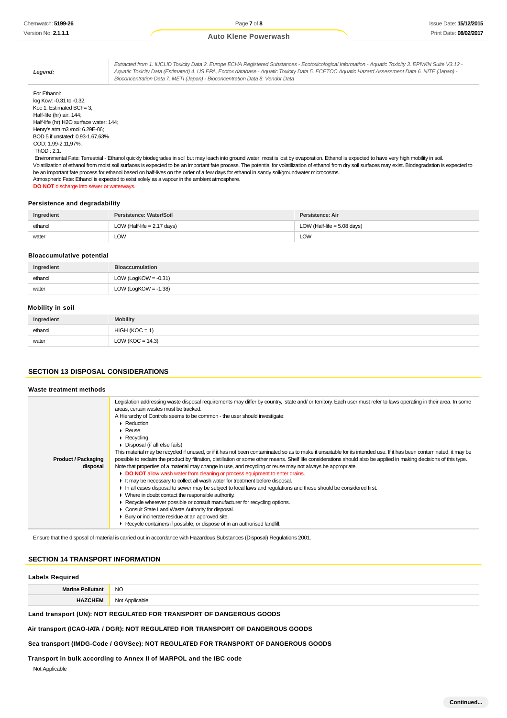**Legend:** Extracted from 1. IUCLID Toxicity Data 2. Europe ECHA Registered Substances - Ecotoxicological Information - Aquatic Toxicity 3. EPIWIN Suite V3.12 - Aquatic Toxicity Data (Estimated) 4. US EPA, Ecotox database - Aquatic Toxicity Data 5. ECETOC Aquatic Hazard Assessment Data 6. NITE (Japan) - Bioconcentration Data 7. METI (Japan) - Bioconcentration Data 8. Vendor Data For Ethanol: log Kow: -0.31 to -0.32; Koc 1: Estimated BCF= 3; Half-life (hr) air: 144; Half-life (hr) H2O surface water: 144; Henry's atm m3 /mol: 6.29E-06; BOD 5 if unstated: 0.93-1.67,63%

COD: 1.99-2.11,97%; ThOD : 2.1.

 Environmental Fate: Terrestrial - Ethanol quickly biodegrades in soil but may leach into ground water; most is lost by evaporation. Ethanol is expected to have very high mobility in soil. Volatilization of ethanol from moist soil surfaces is expected to be an important fate process. The potential for volatilization of ethanol from dry soil surfaces may exist. Biodegradation is expected to be an important fate process for ethanol based on half-lives on the order of a few days for ethanol in sandy soil/groundwater microcosms. Atmospheric Fate: Ethanol is expected to exist solely as a vapour in the ambient atmosphere.

**DO NOT** discharge into sewer or waterways.

# **Persistence and degradability**

| Ingredient | Persistence: Water/Soil       | Persistence: Air              |
|------------|-------------------------------|-------------------------------|
| ethanol    | LOW (Half-life $= 2.17$ days) | LOW (Half-life $= 5.08$ days) |
| water<br>. | LOW<br>$\sim$ $\sim$          | LOW                           |

# **Bioaccumulative potential**

| Ingredient | <b>Bioaccumulation</b>  |
|------------|-------------------------|
| ethanol    | LOW (LogKOW = $-0.31$ ) |
| water      | LOW (LogKOW = $-1.38$ ) |

# **Mobility in soil**

| Ingredient | Mobility             |
|------------|----------------------|
| ethanol    | $HIGH (KOC = 1)$     |
| water      | LOW ( $KOC = 14.3$ ) |

# **SECTION 13 DISPOSAL CONSIDERATIONS**

### **Waste treatment methods**

|                            | Legislation addressing waste disposal requirements may differ by country, state and/ or territory. Each user must refer to laws operating in their area. In some<br>areas, certain wastes must be tracked.<br>A Hierarchy of Controls seems to be common - the user should investigate:<br>$\triangleright$ Reduction<br>$\triangleright$ Reuse<br>$\triangleright$ Recycling<br>▶ Disposal (if all else fails)<br>This material may be recycled if unused, or if it has not been contaminated so as to make it unsuitable for its intended use. If it has been contaminated, it may be |
|----------------------------|-----------------------------------------------------------------------------------------------------------------------------------------------------------------------------------------------------------------------------------------------------------------------------------------------------------------------------------------------------------------------------------------------------------------------------------------------------------------------------------------------------------------------------------------------------------------------------------------|
| <b>Product / Packaging</b> | possible to reclaim the product by filtration, distillation or some other means. Shelf life considerations should also be applied in making decisions of this type.                                                                                                                                                                                                                                                                                                                                                                                                                     |
| disposal                   | Note that properties of a material may change in use, and recycling or reuse may not always be appropriate.                                                                                                                                                                                                                                                                                                                                                                                                                                                                             |
|                            | DO NOT allow wash water from cleaning or process equipment to enter drains.                                                                                                                                                                                                                                                                                                                                                                                                                                                                                                             |
|                            | It may be necessary to collect all wash water for treatment before disposal.                                                                                                                                                                                                                                                                                                                                                                                                                                                                                                            |
|                            | In all cases disposal to sewer may be subject to local laws and regulations and these should be considered first.                                                                                                                                                                                                                                                                                                                                                                                                                                                                       |
|                            | • Where in doubt contact the responsible authority.                                                                                                                                                                                                                                                                                                                                                                                                                                                                                                                                     |
|                            | ► Recycle wherever possible or consult manufacturer for recycling options.                                                                                                                                                                                                                                                                                                                                                                                                                                                                                                              |
|                            | Consult State Land Waste Authority for disposal.                                                                                                                                                                                                                                                                                                                                                                                                                                                                                                                                        |
|                            | ▶ Bury or incinerate residue at an approved site.                                                                                                                                                                                                                                                                                                                                                                                                                                                                                                                                       |
|                            | ▶ Recycle containers if possible, or dispose of in an authorised landfill.                                                                                                                                                                                                                                                                                                                                                                                                                                                                                                              |
|                            |                                                                                                                                                                                                                                                                                                                                                                                                                                                                                                                                                                                         |

Ensure that the disposal of material is carried out in accordance with Hazardous Substances (Disposal) Regulations 2001.

#### **SECTION 14 TRANSPORT INFORMATION**

# **Labels Required**

| Labels Reguired         |                     |  |
|-------------------------|---------------------|--|
| <b>Marine Pollutant</b> | <b>NO</b><br>$\sim$ |  |
| LIA <sup>'</sup>        | Not Applicable      |  |

### **Land transport (UN): NOT REGULATED FOR TRANSPORT OF DANGEROUS GOODS**

#### **Air transport (ICAO-IATA / DGR): NOT REGULATED FOR TRANSPORT OF DANGEROUS GOODS**

#### **Sea transport (IMDG-Code / GGVSee): NOT REGULATED FOR TRANSPORT OF DANGEROUS GOODS**

# **Transport in bulk according to Annex II of MARPOL and the IBC code**

Not Applicable